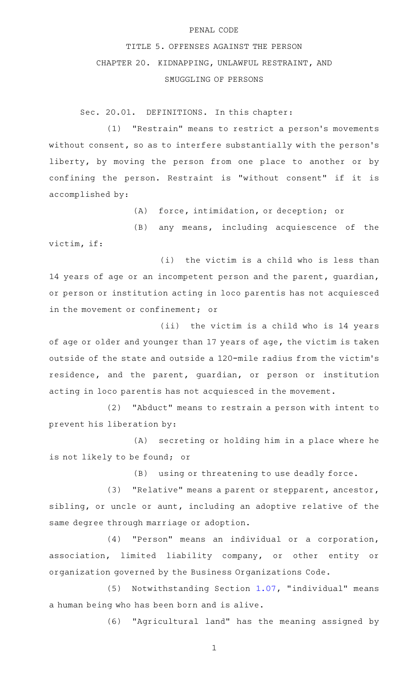## PENAL CODE

## TITLE 5. OFFENSES AGAINST THE PERSON CHAPTER 20. KIDNAPPING, UNLAWFUL RESTRAINT, AND SMUGGLING OF PERSONS

Sec. 20.01. DEFINITIONS. In this chapter:

(1) "Restrain" means to restrict a person's movements without consent, so as to interfere substantially with the person's liberty, by moving the person from one place to another or by confining the person. Restraint is "without consent" if it is accomplished by:

(A) force, intimidation, or deception; or

 $(B)$  any means, including acquiescence of the victim, if:

 $(i)$  the victim is a child who is less than 14 years of age or an incompetent person and the parent, guardian, or person or institution acting in loco parentis has not acquiesced in the movement or confinement; or

(ii) the victim is a child who is 14 years of age or older and younger than 17 years of age, the victim is taken outside of the state and outside a 120-mile radius from the victim 's residence, and the parent, guardian, or person or institution acting in loco parentis has not acquiesced in the movement.

(2) "Abduct" means to restrain a person with intent to prevent his liberation by:

(A) secreting or holding him in a place where he is not likely to be found; or

(B) using or threatening to use deadly force.

(3) "Relative" means a parent or stepparent, ancestor, sibling, or uncle or aunt, including an adoptive relative of the same degree through marriage or adoption.

(4) "Person" means an individual or a corporation, association, limited liability company, or other entity or organization governed by the Business Organizations Code.

 $(5)$  Notwithstanding Section [1.07](http://www.statutes.legis.state.tx.us/GetStatute.aspx?Code=PE&Value=1.07), "individual" means a human being who has been born and is alive.

(6) "Agricultural land" has the meaning assigned by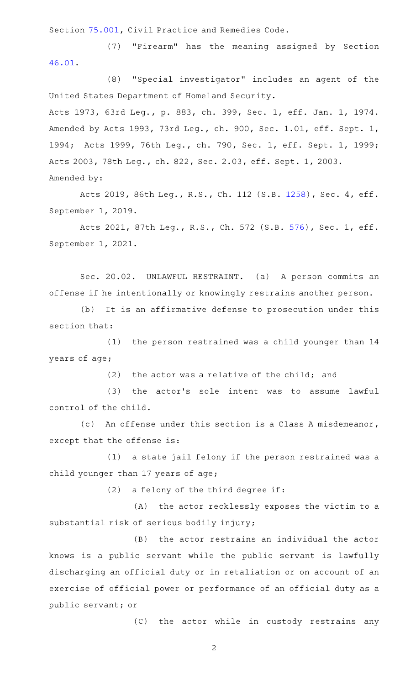Section [75.001](http://www.statutes.legis.state.tx.us/GetStatute.aspx?Code=CP&Value=75.001), Civil Practice and Remedies Code.

(7) "Firearm" has the meaning assigned by Section [46.01.](http://www.statutes.legis.state.tx.us/GetStatute.aspx?Code=PE&Value=46.01)

(8) "Special investigator" includes an agent of the United States Department of Homeland Security.

Acts 1973, 63rd Leg., p. 883, ch. 399, Sec. 1, eff. Jan. 1, 1974. Amended by Acts 1993, 73rd Leg., ch. 900, Sec. 1.01, eff. Sept. 1, 1994; Acts 1999, 76th Leg., ch. 790, Sec. 1, eff. Sept. 1, 1999; Acts 2003, 78th Leg., ch. 822, Sec. 2.03, eff. Sept. 1, 2003. Amended by:

Acts 2019, 86th Leg., R.S., Ch. 112 (S.B. [1258](http://www.legis.state.tx.us/tlodocs/86R/billtext/html/SB01258F.HTM)), Sec. 4, eff. September 1, 2019.

Acts 2021, 87th Leg., R.S., Ch. 572 (S.B. [576](http://www.legis.state.tx.us/tlodocs/87R/billtext/html/SB00576F.HTM)), Sec. 1, eff. September 1, 2021.

Sec. 20.02. UNLAWFUL RESTRAINT. (a) A person commits an offense if he intentionally or knowingly restrains another person.

(b) It is an affirmative defense to prosecution under this section that:

(1) the person restrained was a child younger than 14 years of age;

(2) the actor was a relative of the child; and

(3) the actor's sole intent was to assume lawful control of the child.

(c) An offense under this section is a Class A misdemeanor, except that the offense is:

(1) a state jail felony if the person restrained was a child younger than 17 years of age;

 $(2)$  a felony of the third degree if:

(A) the actor recklessly exposes the victim to a substantial risk of serious bodily injury;

(B) the actor restrains an individual the actor knows is a public servant while the public servant is lawfully discharging an official duty or in retaliation or on account of an exercise of official power or performance of an official duty as a public servant; or

(C) the actor while in custody restrains any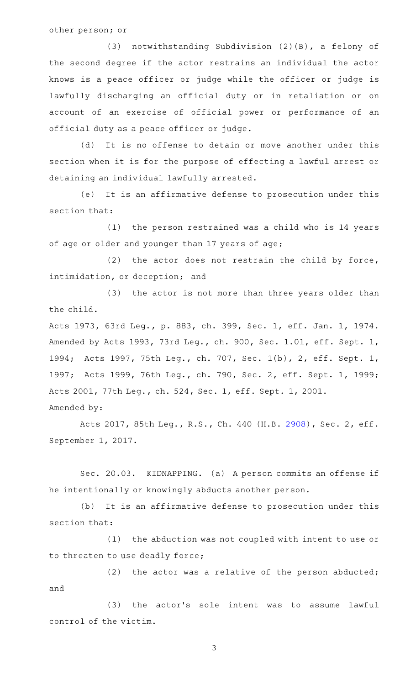## other person; or

(3) notwithstanding Subdivision (2)(B), a felony of the second degree if the actor restrains an individual the actor knows is a peace officer or judge while the officer or judge is lawfully discharging an official duty or in retaliation or on account of an exercise of official power or performance of an official duty as a peace officer or judge.

(d) It is no offense to detain or move another under this section when it is for the purpose of effecting a lawful arrest or detaining an individual lawfully arrested.

(e) It is an affirmative defense to prosecution under this section that:

 $(1)$  the person restrained was a child who is 14 years of age or older and younger than 17 years of age;

(2) the actor does not restrain the child by force, intimidation, or deception; and

(3) the actor is not more than three years older than the child.

Acts 1973, 63rd Leg., p. 883, ch. 399, Sec. 1, eff. Jan. 1, 1974. Amended by Acts 1993, 73rd Leg., ch. 900, Sec. 1.01, eff. Sept. 1, 1994; Acts 1997, 75th Leg., ch. 707, Sec. 1(b), 2, eff. Sept. 1, 1997; Acts 1999, 76th Leg., ch. 790, Sec. 2, eff. Sept. 1, 1999; Acts 2001, 77th Leg., ch. 524, Sec. 1, eff. Sept. 1, 2001. Amended by:

Acts 2017, 85th Leg., R.S., Ch. 440 (H.B. [2908](http://www.legis.state.tx.us/tlodocs/85R/billtext/html/HB02908F.HTM)), Sec. 2, eff. September 1, 2017.

Sec. 20.03. KIDNAPPING. (a) A person commits an offense if he intentionally or knowingly abducts another person.

(b) It is an affirmative defense to prosecution under this section that:

(1) the abduction was not coupled with intent to use or to threaten to use deadly force;

(2) the actor was a relative of the person abducted; and

(3) the actor's sole intent was to assume lawful control of the victim.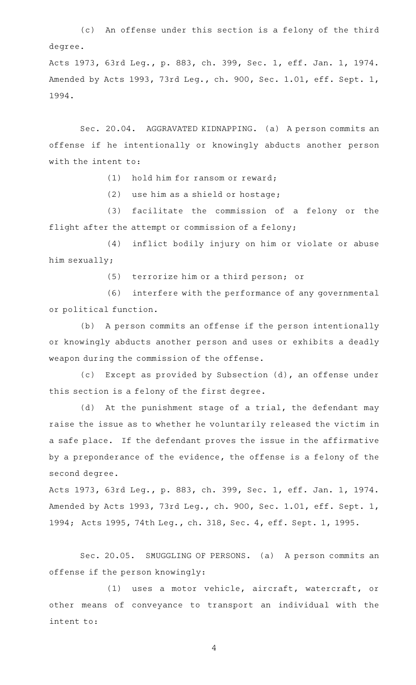(c) An offense under this section is a felony of the third degree.

Acts 1973, 63rd Leg., p. 883, ch. 399, Sec. 1, eff. Jan. 1, 1974. Amended by Acts 1993, 73rd Leg., ch. 900, Sec. 1.01, eff. Sept. 1, 1994.

Sec. 20.04. AGGRAVATED KIDNAPPING. (a) A person commits an offense if he intentionally or knowingly abducts another person with the intent to:

 $(1)$  hold him for ransom or reward;

(2) use him as a shield or hostage;

(3) facilitate the commission of a felony or the flight after the attempt or commission of a felony;

(4) inflict bodily injury on him or violate or abuse him sexually;

(5) terrorize him or a third person; or

(6) interfere with the performance of any governmental or political function.

(b) A person commits an offense if the person intentionally or knowingly abducts another person and uses or exhibits a deadly weapon during the commission of the offense.

(c) Except as provided by Subsection (d), an offense under this section is a felony of the first degree.

(d) At the punishment stage of a trial, the defendant may raise the issue as to whether he voluntarily released the victim in a safe place. If the defendant proves the issue in the affirmative by a preponderance of the evidence, the offense is a felony of the second degree.

Acts 1973, 63rd Leg., p. 883, ch. 399, Sec. 1, eff. Jan. 1, 1974. Amended by Acts 1993, 73rd Leg., ch. 900, Sec. 1.01, eff. Sept. 1, 1994; Acts 1995, 74th Leg., ch. 318, Sec. 4, eff. Sept. 1, 1995.

Sec. 20.05. SMUGGLING OF PERSONS. (a) A person commits an offense if the person knowingly:

(1) uses a motor vehicle, aircraft, watercraft, or other means of conveyance to transport an individual with the intent to: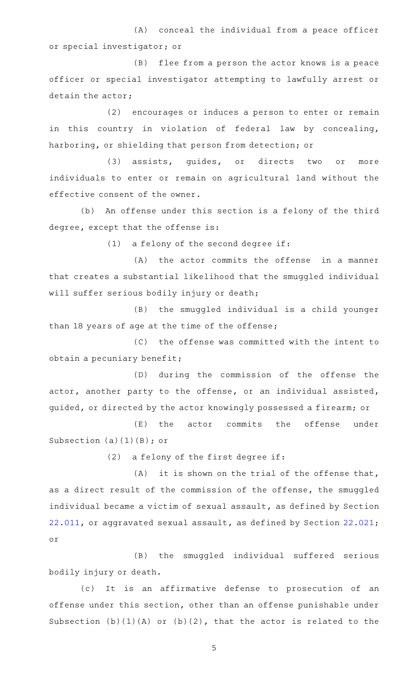(A) conceal the individual from a peace officer or special investigator; or

(B) flee from a person the actor knows is a peace officer or special investigator attempting to lawfully arrest or detain the actor;

(2) encourages or induces a person to enter or remain in this country in violation of federal law by concealing, harboring, or shielding that person from detection; or

(3) assists, quides, or directs two or more individuals to enter or remain on agricultural land without the effective consent of the owner.

(b) An offense under this section is a felony of the third degree, except that the offense is:

 $(1)$  a felony of the second degree if:

 $(A)$  the actor commits the offense in a manner that creates a substantial likelihood that the smuggled individual will suffer serious bodily injury or death;

(B) the smuggled individual is a child younger than 18 years of age at the time of the offense;

(C) the offense was committed with the intent to obtain a pecuniary benefit;

(D) during the commission of the offense the actor, another party to the offense, or an individual assisted, guided, or directed by the actor knowingly possessed a firearm; or

(E) the actor commits the offense under Subsection (a)(1)(B); or

(2) a felony of the first degree if:

 $(A)$  it is shown on the trial of the offense that, as a direct result of the commission of the offense, the smuggled individual became a victim of sexual assault, as defined by Section [22.011](http://www.statutes.legis.state.tx.us/GetStatute.aspx?Code=PE&Value=22.011), or aggravated sexual assault, as defined by Section [22.021](http://www.statutes.legis.state.tx.us/GetStatute.aspx?Code=PE&Value=22.021); or

(B) the smuggled individual suffered serious bodily injury or death.

(c) It is an affirmative defense to prosecution of an offense under this section, other than an offense punishable under Subsection  $(b)(1)(A)$  or  $(b)(2)$ , that the actor is related to the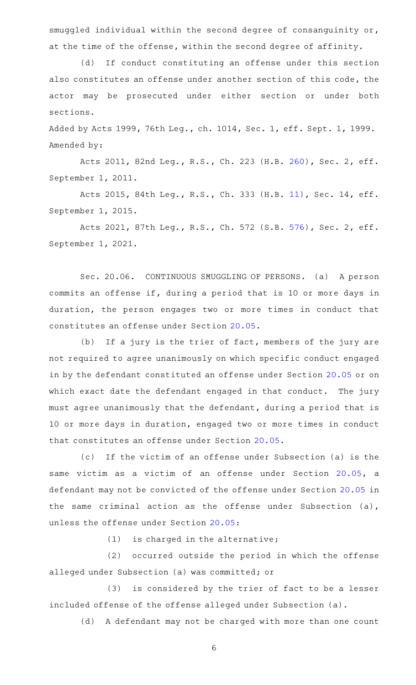smuggled individual within the second degree of consanguinity or, at the time of the offense, within the second degree of affinity.

(d) If conduct constituting an offense under this section also constitutes an offense under another section of this code, the actor may be prosecuted under either section or under both sections.

Added by Acts 1999, 76th Leg., ch. 1014, Sec. 1, eff. Sept. 1, 1999. Amended by:

Acts 2011, 82nd Leg., R.S., Ch. 223 (H.B. [260](http://www.legis.state.tx.us/tlodocs/82R/billtext/html/HB00260F.HTM)), Sec. 2, eff. September 1, 2011.

Acts 2015, 84th Leg., R.S., Ch. 333 (H.B. [11\)](http://www.legis.state.tx.us/tlodocs/84R/billtext/html/HB00011F.HTM), Sec. 14, eff. September 1, 2015.

Acts 2021, 87th Leg., R.S., Ch. 572 (S.B. [576](http://www.legis.state.tx.us/tlodocs/87R/billtext/html/SB00576F.HTM)), Sec. 2, eff. September 1, 2021.

Sec. 20.06. CONTINUOUS SMUGGLING OF PERSONS. (a) A person commits an offense if, during a period that is 10 or more days in duration, the person engages two or more times in conduct that constitutes an offense under Section [20.05](http://www.statutes.legis.state.tx.us/GetStatute.aspx?Code=PE&Value=20.05).

(b) If a jury is the trier of fact, members of the jury are not required to agree unanimously on which specific conduct engaged in by the defendant constituted an offense under Section [20.05](http://www.statutes.legis.state.tx.us/GetStatute.aspx?Code=PE&Value=20.05) or on which exact date the defendant engaged in that conduct. The jury must agree unanimously that the defendant, during a period that is 10 or more days in duration, engaged two or more times in conduct that constitutes an offense under Section [20.05.](http://www.statutes.legis.state.tx.us/GetStatute.aspx?Code=PE&Value=20.05)

(c) If the victim of an offense under Subsection (a) is the same victim as a victim of an offense under Section [20.05](http://www.statutes.legis.state.tx.us/GetStatute.aspx?Code=PE&Value=20.05), a defendant may not be convicted of the offense under Section [20.05](http://www.statutes.legis.state.tx.us/GetStatute.aspx?Code=PE&Value=20.05) in the same criminal action as the offense under Subsection (a), unless the offense under Section [20.05](http://www.statutes.legis.state.tx.us/GetStatute.aspx?Code=PE&Value=20.05):

 $(1)$  is charged in the alternative;

(2) occurred outside the period in which the offense alleged under Subsection (a) was committed; or

(3) is considered by the trier of fact to be a lesser included offense of the offense alleged under Subsection (a).

(d) A defendant may not be charged with more than one count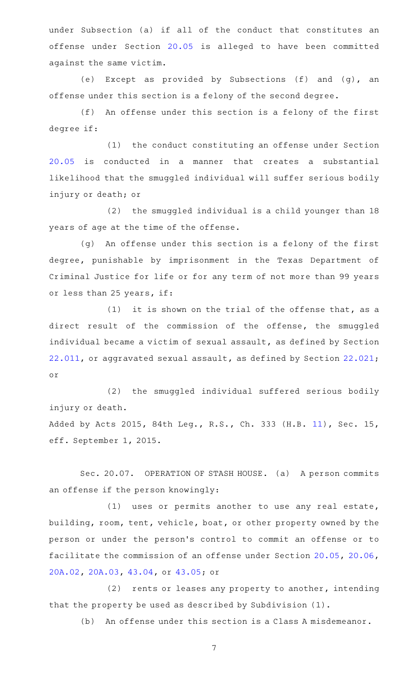under Subsection (a) if all of the conduct that constitutes an offense under Section [20.05](http://www.statutes.legis.state.tx.us/GetStatute.aspx?Code=PE&Value=20.05) is alleged to have been committed against the same victim.

(e) Except as provided by Subsections (f) and (g), an offense under this section is a felony of the second degree.

(f) An offense under this section is a felony of the first degree if:

(1) the conduct constituting an offense under Section [20.05](http://www.statutes.legis.state.tx.us/GetStatute.aspx?Code=PE&Value=20.05) is conducted in a manner that creates a substantial likelihood that the smuggled individual will suffer serious bodily injury or death; or

(2) the smuggled individual is a child younger than 18 years of age at the time of the offense.

(g) An offense under this section is a felony of the first degree, punishable by imprisonment in the Texas Department of Criminal Justice for life or for any term of not more than 99 years or less than 25 years, if:

 $(1)$  it is shown on the trial of the offense that, as a direct result of the commission of the offense, the smuggled individual became a victim of sexual assault, as defined by Section [22.011](http://www.statutes.legis.state.tx.us/GetStatute.aspx?Code=PE&Value=22.011), or aggravated sexual assault, as defined by Section [22.021](http://www.statutes.legis.state.tx.us/GetStatute.aspx?Code=PE&Value=22.021); or

(2) the smuggled individual suffered serious bodily injury or death.

Added by Acts 2015, 84th Leg., R.S., Ch. 333 (H.B. [11](http://www.legis.state.tx.us/tlodocs/84R/billtext/html/HB00011F.HTM)), Sec. 15, eff. September 1, 2015.

Sec. 20.07. OPERATION OF STASH HOUSE. (a) A person commits an offense if the person knowingly:

(1) uses or permits another to use any real estate, building, room, tent, vehicle, boat, or other property owned by the person or under the person 's control to commit an offense or to facilitate the commission of an offense under Section [20.05,](http://www.statutes.legis.state.tx.us/GetStatute.aspx?Code=PE&Value=20.05) [20.06](http://www.statutes.legis.state.tx.us/GetStatute.aspx?Code=PE&Value=20.06), [20A.02](http://www.statutes.legis.state.tx.us/GetStatute.aspx?Code=PE&Value=20A.02), [20A.03](http://www.statutes.legis.state.tx.us/GetStatute.aspx?Code=PE&Value=20A.03), [43.04](http://www.statutes.legis.state.tx.us/GetStatute.aspx?Code=PE&Value=43.04), or [43.05;](http://www.statutes.legis.state.tx.us/GetStatute.aspx?Code=PE&Value=43.05) or

(2) rents or leases any property to another, intending that the property be used as described by Subdivision (1).

(b) An offense under this section is a Class A misdemeanor.